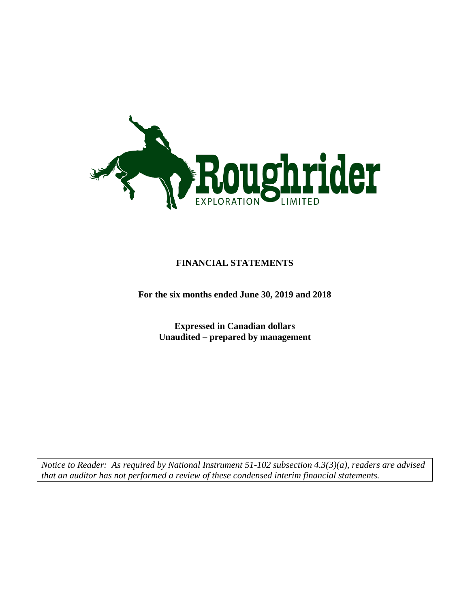

## **FINANCIAL STATEMENTS**

**For the six months ended June 30, 2019 and 2018**

**Expressed in Canadian dollars Unaudited – prepared by management**

*Notice to Reader: As required by National Instrument 51-102 subsection 4.3(3)(a), readers are advised that an auditor has not performed a review of these condensed interim financial statements.*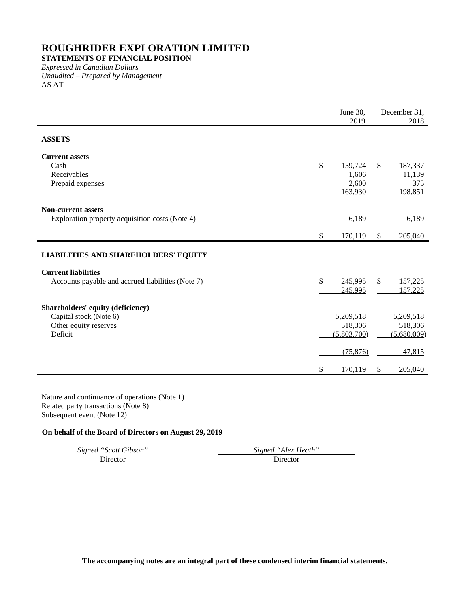**STATEMENTS OF FINANCIAL POSITION**

*Expressed in Canadian Dollars Unaudited – Prepared by Management* AS AT

|                                                             |               | June 30,<br>2019 |                           | December 31,<br>2018 |
|-------------------------------------------------------------|---------------|------------------|---------------------------|----------------------|
| <b>ASSETS</b>                                               |               |                  |                           |                      |
| <b>Current assets</b>                                       |               |                  |                           |                      |
| Cash                                                        | \$            | 159,724          | $\mathbb{S}$              | 187,337              |
| Receivables                                                 |               | 1,606            |                           | 11,139               |
| Prepaid expenses                                            |               | 2,600            |                           | 375                  |
|                                                             |               | 163,930          |                           | 198,851              |
| <b>Non-current assets</b>                                   |               |                  |                           |                      |
| Exploration property acquisition costs (Note 4)             |               | 6,189            |                           | 6,189                |
|                                                             |               |                  |                           |                      |
|                                                             | \$            | 170,119          | $\boldsymbol{\mathsf{S}}$ | 205,040              |
| <b>LIABILITIES AND SHAREHOLDERS' EQUITY</b>                 |               |                  |                           |                      |
| <b>Current liabilities</b>                                  |               |                  |                           |                      |
| Accounts payable and accrued liabilities (Note 7)           | $\frac{1}{2}$ | 245,995          | $\mathcal{S}$             | 157,225              |
|                                                             |               | 245,995          |                           | 157,225              |
|                                                             |               |                  |                           |                      |
| Shareholders' equity (deficiency)<br>Capital stock (Note 6) |               | 5,209,518        |                           | 5,209,518            |
| Other equity reserves                                       |               | 518,306          |                           | 518,306              |
| Deficit                                                     |               | (5,803,700)      |                           | (5,680,009)          |
|                                                             |               |                  |                           |                      |
|                                                             |               | (75, 876)        |                           | 47,815               |
|                                                             | \$            | 170,119          | $\boldsymbol{\mathsf{S}}$ | 205,040              |

Nature and continuance of operations (Note 1) Related party transactions (Note 8) Subsequent event (Note 12)

## **On behalf of the Board of Directors on August 29, 2019**

Director

*Signed "Scott Gibson" Signed "Alex Heath"*

**The accompanying notes are an integral part of these condensed interim financial statements.**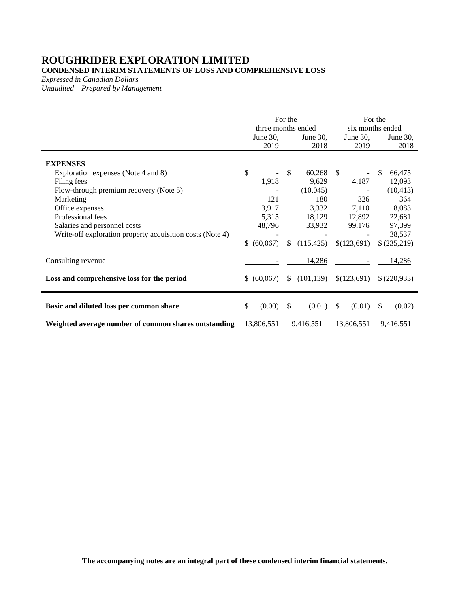**CONDENSED INTERIM STATEMENTS OF LOSS AND COMPREHENSIVE LOSS**

*Expressed in Canadian Dollars*

*Unaudited – Prepared by Management*

|                                                                                                                                                                                                                                                                   | June 30,<br>2019                               | For the<br>three months ended<br>June 30,<br>2018                     | June $30$ ,<br>2019                                        | For the<br>six months ended<br>June 30,<br>2018                                   |
|-------------------------------------------------------------------------------------------------------------------------------------------------------------------------------------------------------------------------------------------------------------------|------------------------------------------------|-----------------------------------------------------------------------|------------------------------------------------------------|-----------------------------------------------------------------------------------|
| <b>EXPENSES</b><br>Exploration expenses (Note 4 and 8)<br>Filing fees<br>Flow-through premium recovery (Note 5)<br>Marketing<br>Office expenses<br>Professional fees<br>Salaries and personnel costs<br>Write-off exploration property acquisition costs (Note 4) | \$<br>1,918<br>121<br>3,917<br>5,315<br>48,796 | \$<br>60,268<br>9,629<br>(10,045)<br>180<br>3,332<br>18,129<br>33,932 | <sup>\$</sup><br>4,187<br>326<br>7,110<br>12,892<br>99,176 | \$<br>66,475<br>12,093<br>(10, 413)<br>364<br>8,083<br>22,681<br>97,399<br>38,537 |
| Consulting revenue<br>Loss and comprehensive loss for the period                                                                                                                                                                                                  | \$ (60,067)<br>\$ (60,067)                     | \$<br>(115, 425)<br>14,286<br>(101, 139)<br>\$                        | \$(123,691)<br>\$(123,691)                                 | \$(235,219)<br>14,286<br>\$(220,933)                                              |
| Basic and diluted loss per common share<br>Weighted average number of common shares outstanding                                                                                                                                                                   | \$<br>(0.00)<br>13,806,551                     | \$<br>(0.01)<br>9,416,551                                             | $\mathbb{S}$<br>(0.01)<br>13,806,551                       | -S<br>(0.02)<br>9,416,551                                                         |

**The accompanying notes are an integral part of these condensed interim financial statements.**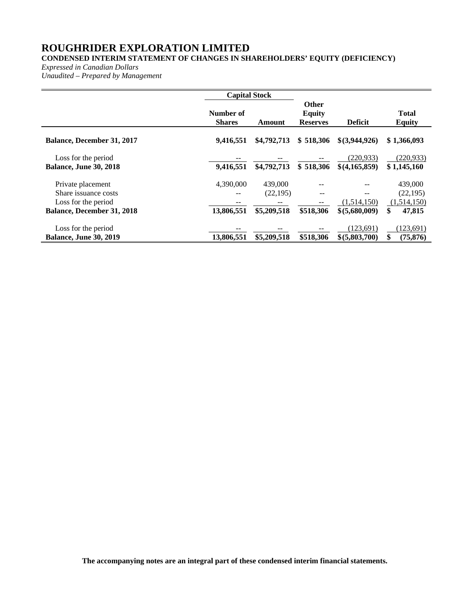## **CONDENSED INTERIM STATEMENT OF CHANGES IN SHAREHOLDERS' EQUITY (DEFICIENCY)**

*Expressed in Canadian Dollars*

*Unaudited – Prepared by Management*

|                                                                                                       | <b>Capital Stock</b>          |                                     |                                                  |                                     |                                                     |
|-------------------------------------------------------------------------------------------------------|-------------------------------|-------------------------------------|--------------------------------------------------|-------------------------------------|-----------------------------------------------------|
|                                                                                                       | Number of<br><b>Shares</b>    | Amount                              | <b>Other</b><br><b>Equity</b><br><b>Reserves</b> | <b>Deficit</b>                      | <b>Total</b><br><b>Equity</b>                       |
| <b>Balance, December 31, 2017</b>                                                                     | 9,416,551                     | \$4,792,713                         | \$518,306                                        | $$$ (3,944,926)                     | \$1,366,093                                         |
| Loss for the period<br><b>Balance, June 30, 2018</b>                                                  | 9,416,551                     | \$4,792,713                         | \$518,306                                        | (220.933)<br>$$$ (4,165,859)        | (220, 933)<br>\$1,145,160                           |
| Private placement<br>Share issuance costs<br>Loss for the period<br><b>Balance, December 31, 2018</b> | 4,390,000<br>--<br>13,806,551 | 439,000<br>(22, 195)<br>\$5,209,518 | --<br>$\qquad \qquad -$<br>\$518,306             | --<br>(1,514,150)<br>\$ (5,680,009) | 439,000<br>(22, 195)<br>(1,514,150)<br>\$<br>47,815 |
| Loss for the period<br><b>Balance, June 30, 2019</b>                                                  | 13,806,551                    | \$5,209,518                         | \$518,306                                        | (123.691)<br>\$ (5,803,700)         | (123, 691)<br>\$<br>(75, 876)                       |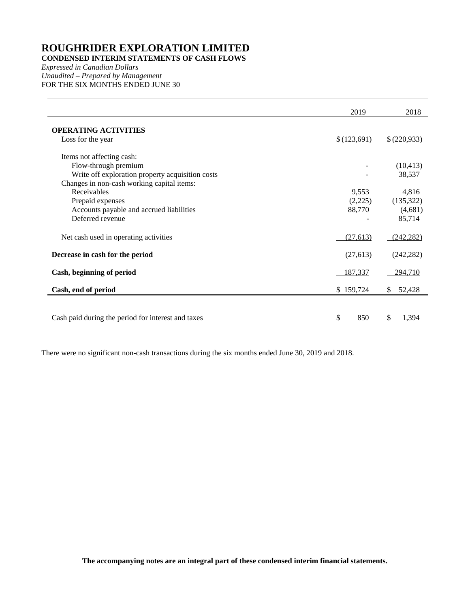## **CONDENSED INTERIM STATEMENTS OF CASH FLOWS**

*Expressed in Canadian Dollars Unaudited – Prepared by Management* FOR THE SIX MONTHS ENDED JUNE 30

|                                                    | 2019        | 2018        |
|----------------------------------------------------|-------------|-------------|
| <b>OPERATING ACTIVITIES</b>                        |             |             |
| Loss for the year                                  | \$(123,691) | \$(220,933) |
| Items not affecting cash:                          |             |             |
| Flow-through premium                               |             | (10, 413)   |
| Write off exploration property acquisition costs   |             | 38,537      |
| Changes in non-cash working capital items:         |             |             |
| Receivables                                        | 9,553       | 4,816       |
| Prepaid expenses                                   | (2,225)     | (135, 322)  |
| Accounts payable and accrued liabilities           | 88,770      | (4,681)     |
| Deferred revenue                                   |             | 85,714      |
| Net cash used in operating activities              | (27, 613)   | (242, 282)  |
| Decrease in cash for the period                    | (27, 613)   | (242, 282)  |
| Cash, beginning of period                          | 187,337     | 294,710     |
| Cash, end of period                                | \$159,724   | \$52,428    |
|                                                    |             |             |
| Cash paid during the period for interest and taxes | \$<br>850   | \$<br>1,394 |

There were no significant non-cash transactions during the six months ended June 30, 2019 and 2018.

**The accompanying notes are an integral part of these condensed interim financial statements.**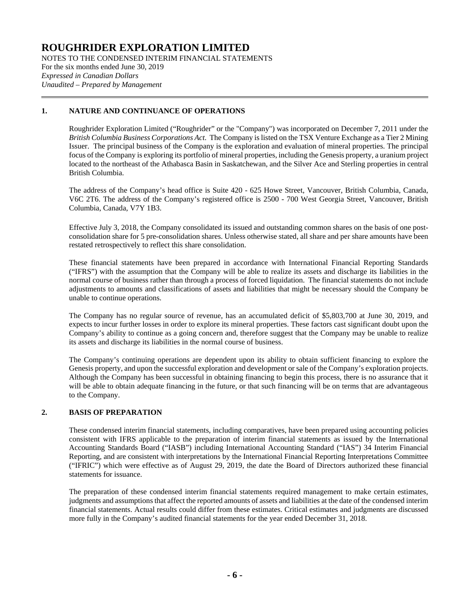NOTES TO THE CONDENSED INTERIM FINANCIAL STATEMENTS For the six months ended June 30, 2019 *Expressed in Canadian Dollars Unaudited – Prepared by Management*

## **1. NATURE AND CONTINUANCE OF OPERATIONS**

Roughrider Exploration Limited ("Roughrider" or the "Company") was incorporated on December 7, 2011 under the *British Columbia Business Corporations Act*. The Company is listed on the TSX Venture Exchange as a Tier 2 Mining Issuer. The principal business of the Company is the exploration and evaluation of mineral properties. The principal focus of the Company is exploring its portfolio of mineral properties, including the Genesis property, a uranium project located to the northeast of the Athabasca Basin in Saskatchewan, and the Silver Ace and Sterling properties in central British Columbia.

The address of the Company's head office is Suite 420 - 625 Howe Street, Vancouver, British Columbia, Canada, V6C 2T6. The address of the Company's registered office is 2500 - 700 West Georgia Street, Vancouver, British Columbia, Canada, V7Y 1B3.

Effective July 3, 2018, the Company consolidated its issued and outstanding common shares on the basis of one postconsolidation share for 5 pre-consolidation shares. Unless otherwise stated, all share and per share amounts have been restated retrospectively to reflect this share consolidation.

These financial statements have been prepared in accordance with International Financial Reporting Standards ("IFRS") with the assumption that the Company will be able to realize its assets and discharge its liabilities in the normal course of business rather than through a process of forced liquidation. The financial statements do not include adjustments to amounts and classifications of assets and liabilities that might be necessary should the Company be unable to continue operations.

The Company has no regular source of revenue, has an accumulated deficit of \$5,803,700 at June 30, 2019, and expects to incur further losses in order to explore its mineral properties. These factors cast significant doubt upon the Company's ability to continue as a going concern and, therefore suggest that the Company may be unable to realize its assets and discharge its liabilities in the normal course of business.

The Company's continuing operations are dependent upon its ability to obtain sufficient financing to explore the Genesis property, and upon the successful exploration and development or sale of the Company's exploration projects. Although the Company has been successful in obtaining financing to begin this process, there is no assurance that it will be able to obtain adequate financing in the future, or that such financing will be on terms that are advantageous to the Company.

## **2. BASIS OF PREPARATION**

These condensed interim financial statements, including comparatives, have been prepared using accounting policies consistent with IFRS applicable to the preparation of interim financial statements as issued by the International Accounting Standards Board ("IASB") including International Accounting Standard ("IAS") 34 Interim Financial Reporting, and are consistent with interpretations by the International Financial Reporting Interpretations Committee ("IFRIC") which were effective as of August 29, 2019, the date the Board of Directors authorized these financial statements for issuance.

The preparation of these condensed interim financial statements required management to make certain estimates, judgments and assumptions that affect the reported amounts of assets and liabilities at the date of the condensed interim financial statements. Actual results could differ from these estimates. Critical estimates and judgments are discussed more fully in the Company's audited financial statements for the year ended December 31, 2018.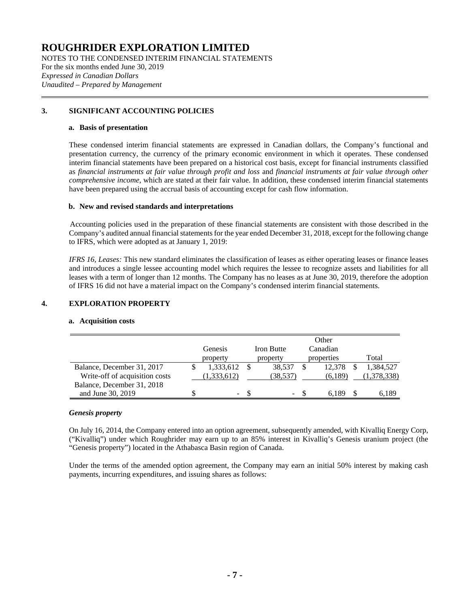NOTES TO THE CONDENSED INTERIM FINANCIAL STATEMENTS For the six months ended June 30, 2019 *Expressed in Canadian Dollars Unaudited – Prepared by Management*

## **3. SIGNIFICANT ACCOUNTING POLICIES**

#### **a. Basis of presentation**

These condensed interim financial statements are expressed in Canadian dollars, the Company's functional and presentation currency, the currency of the primary economic environment in which it operates. These condensed interim financial statements have been prepared on a historical cost basis, except for financial instruments classified as *financial instruments at fair value through profit and loss* and *financial instruments at fair value through other comprehensive income*, which are stated at their fair value. In addition, these condensed interim financial statements have been prepared using the accrual basis of accounting except for cash flow information.

## **b. New and revised standards and interpretations**

Accounting policies used in the preparation of these financial statements are consistent with those described in the Company's audited annual financial statements for the year ended December 31, 2018, except for the following change to IFRS, which were adopted as at January 1, 2019:

*IFRS 16, Leases:* This new standard eliminates the classification of leases as either operating leases or finance leases and introduces a single lessee accounting model which requires the lessee to recognize assets and liabilities for all leases with a term of longer than 12 months. The Company has no leases as at June 30, 2019, therefore the adoption of IFRS 16 did not have a material impact on the Company's condensed interim financial statements.

## **4. EXPLORATION PROPERTY**

## **a. Acquisition costs**

|                                                              | Genesis<br>property | <b>Iron Butte</b><br>property | Other<br>Canadian<br>properties | Total       |
|--------------------------------------------------------------|---------------------|-------------------------------|---------------------------------|-------------|
| Balance, December 31, 2017                                   | 1,333,612           | 38.537                        | 12.378                          | 1,384,527   |
| Write-off of acquisition costs<br>Balance, December 31, 2018 | 1,333,612)          | (38,537)                      | (6,189)                         | (1,378,338) |
| and June 30, 2019                                            | ۰.                  | $\overline{\phantom{a}}$      |                                 | 6.189       |

## *Genesis property*

On July 16, 2014, the Company entered into an option agreement, subsequently amended, with Kivalliq Energy Corp, ("Kivalliq") under which Roughrider may earn up to an 85% interest in Kivalliq's Genesis uranium project (the "Genesis property") located in the Athabasca Basin region of Canada.

Under the terms of the amended option agreement, the Company may earn an initial 50% interest by making cash payments, incurring expenditures, and issuing shares as follows: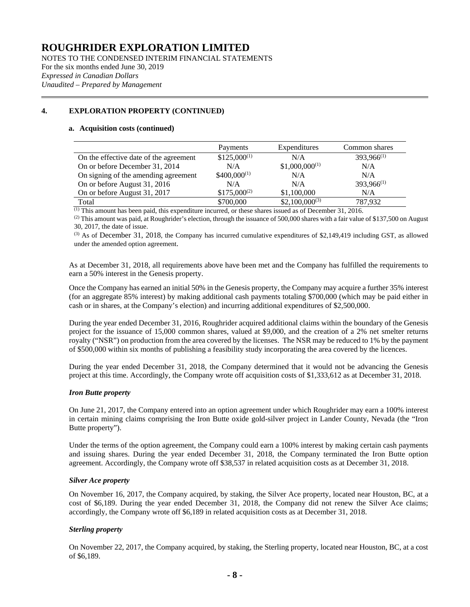NOTES TO THE CONDENSED INTERIM FINANCIAL STATEMENTS For the six months ended June 30, 2019 *Expressed in Canadian Dollars Unaudited – Prepared by Management*

## **4. EXPLORATION PROPERTY (CONTINUED)**

#### **a. Acquisition costs (continued)**

|                                        | Payments         | Expenditures       | Common shares   |
|----------------------------------------|------------------|--------------------|-----------------|
| On the effective date of the agreement | $$125,000^{(1)}$ | N/A                | $393,966^{(1)}$ |
| On or before December 31, 2014         | N/A              | $$1,000,000^{(1)}$ | N/A             |
| On signing of the amending agreement   | $$400,000^{(1)}$ | N/A                | N/A             |
| On or before August 31, 2016           | N/A              | N/A                | $393,966^{(1)}$ |
| On or before August 31, 2017           | $$175,000^{(2)}$ | \$1,100,000        | N/A             |
| Total                                  | \$700,000        | $$2,100,000^{(3)}$ | 787.932         |

(1) This amount has been paid, this expenditure incurred, or these shares issued as of December 31, 2016.

 $^{(2)}$  This amount was paid, at Roughrider's election, through the issuance of 500,000 shares with a fair value of \$137,500 on August 30, 2017, the date of issue.

 $^{(3)}$  As of December 31, 2018, the Company has incurred cumulative expenditures of \$2,149,419 including GST, as allowed under the amended option agreement.

As at December 31, 2018, all requirements above have been met and the Company has fulfilled the requirements to earn a 50% interest in the Genesis property.

Once the Company has earned an initial 50% in the Genesis property, the Company may acquire a further 35% interest (for an aggregate 85% interest) by making additional cash payments totaling \$700,000 (which may be paid either in cash or in shares, at the Company's election) and incurring additional expenditures of \$2,500,000.

During the year ended December 31, 2016, Roughrider acquired additional claims within the boundary of the Genesis project for the issuance of 15,000 common shares, valued at \$9,000, and the creation of a 2% net smelter returns royalty ("NSR") on production from the area covered by the licenses. The NSR may be reduced to 1% by the payment of \$500,000 within six months of publishing a feasibility study incorporating the area covered by the licences.

During the year ended December 31, 2018, the Company determined that it would not be advancing the Genesis project at this time. Accordingly, the Company wrote off acquisition costs of \$1,333,612 as at December 31, 2018.

## *Iron Butte property*

On June 21, 2017, the Company entered into an option agreement under which Roughrider may earn a 100% interest in certain mining claims comprising the Iron Butte oxide gold-silver project in Lander County, Nevada (the "Iron Butte property").

Under the terms of the option agreement, the Company could earn a 100% interest by making certain cash payments and issuing shares. During the year ended December 31, 2018, the Company terminated the Iron Butte option agreement. Accordingly, the Company wrote off \$38,537 in related acquisition costs as at December 31, 2018.

## *Silver Ace property*

On November 16, 2017, the Company acquired, by staking, the Silver Ace property, located near Houston, BC, at a cost of \$6,189. During the year ended December 31, 2018, the Company did not renew the Silver Ace claims; accordingly, the Company wrote off \$6,189 in related acquisition costs as at December 31, 2018.

## *Sterling property*

On November 22, 2017, the Company acquired, by staking, the Sterling property, located near Houston, BC, at a cost of \$6,189.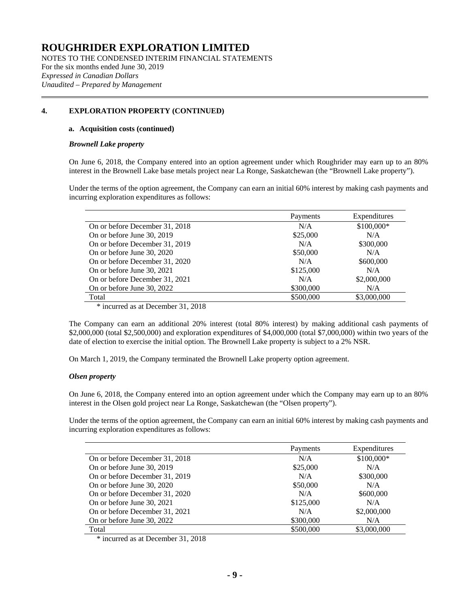NOTES TO THE CONDENSED INTERIM FINANCIAL STATEMENTS For the six months ended June 30, 2019 *Expressed in Canadian Dollars Unaudited – Prepared by Management*

## **4. EXPLORATION PROPERTY (CONTINUED)**

#### **a. Acquisition costs (continued)**

#### *Brownell Lake property*

On June 6, 2018, the Company entered into an option agreement under which Roughrider may earn up to an 80% interest in the Brownell Lake base metals project near La Ronge, Saskatchewan (the "Brownell Lake property").

Under the terms of the option agreement, the Company can earn an initial 60% interest by making cash payments and incurring exploration expenditures as follows:

|                                | Payments  | Expenditures |
|--------------------------------|-----------|--------------|
| On or before December 31, 2018 | N/A       | \$100,000*   |
| On or before June 30, 2019     | \$25,000  | N/A          |
| On or before December 31, 2019 | N/A       | \$300,000    |
| On or before June 30, 2020     | \$50,000  | N/A          |
| On or before December 31, 2020 | N/A       | \$600,000    |
| On or before June 30, 2021     | \$125,000 | N/A          |
| On or before December 31, 2021 | N/A       | \$2,000,000  |
| On or before June 30, 2022     | \$300,000 | N/A          |
| Total                          | \$500,000 | \$3,000,000  |

\* incurred as at December 31, 2018

The Company can earn an additional 20% interest (total 80% interest) by making additional cash payments of \$2,000,000 (total \$2,500,000) and exploration expenditures of \$4,000,000 (total \$7,000,000) within two years of the date of election to exercise the initial option. The Brownell Lake property is subject to a 2% NSR.

On March 1, 2019, the Company terminated the Brownell Lake property option agreement.

## *Olsen property*

On June 6, 2018, the Company entered into an option agreement under which the Company may earn up to an 80% interest in the Olsen gold project near La Ronge, Saskatchewan (the "Olsen property").

Under the terms of the option agreement, the Company can earn an initial 60% interest by making cash payments and incurring exploration expenditures as follows:

|                                | Payments  | Expenditures |
|--------------------------------|-----------|--------------|
| On or before December 31, 2018 | N/A       | \$100,000*   |
| On or before June 30, 2019     | \$25,000  | N/A          |
| On or before December 31, 2019 | N/A       | \$300,000    |
| On or before June 30, 2020     | \$50,000  | N/A          |
| On or before December 31, 2020 | N/A       | \$600,000    |
| On or before June 30, 2021     | \$125,000 | N/A          |
| On or before December 31, 2021 | N/A       | \$2,000,000  |
| On or before June 30, 2022     | \$300,000 | N/A          |
| Total                          | \$500,000 | \$3,000,000  |

\* incurred as at December 31, 2018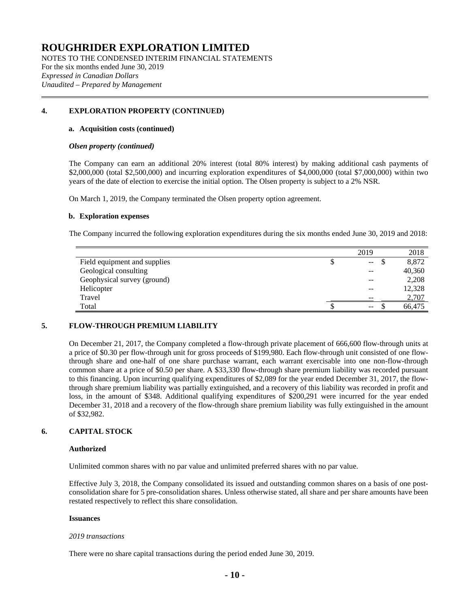NOTES TO THE CONDENSED INTERIM FINANCIAL STATEMENTS For the six months ended June 30, 2019 *Expressed in Canadian Dollars Unaudited – Prepared by Management*

## **4. EXPLORATION PROPERTY (CONTINUED)**

#### **a. Acquisition costs (continued)**

#### *Olsen property (continued)*

The Company can earn an additional 20% interest (total 80% interest) by making additional cash payments of \$2,000,000 (total \$2,500,000) and incurring exploration expenditures of \$4,000,000 (total \$7,000,000) within two years of the date of election to exercise the initial option. The Olsen property is subject to a 2% NSR.

On March 1, 2019, the Company terminated the Olsen property option agreement.

#### **b. Exploration expenses**

The Company incurred the following exploration expenditures during the six months ended June 30, 2019 and 2018:

|                              | 2019                     | 2018   |
|------------------------------|--------------------------|--------|
| Field equipment and supplies | $\overline{\phantom{m}}$ | 8,872  |
| Geological consulting        | --                       | 40,360 |
| Geophysical survey (ground)  | $- -$                    | 2,208  |
| Helicopter                   | $-$                      | 12,328 |
| Travel                       | $- -$                    | 2,707  |
| Total                        | $\overline{\phantom{m}}$ | 66.475 |

## **5. FLOW-THROUGH PREMIUM LIABILITY**

On December 21, 2017, the Company completed a flow-through private placement of 666,600 flow-through units at a price of \$0.30 per flow-through unit for gross proceeds of \$199,980. Each flow-through unit consisted of one flowthrough share and one-half of one share purchase warrant, each warrant exercisable into one non-flow-through common share at a price of \$0.50 per share. A \$33,330 flow-through share premium liability was recorded pursuant to this financing. Upon incurring qualifying expenditures of \$2,089 for the year ended December 31, 2017, the flowthrough share premium liability was partially extinguished, and a recovery of this liability was recorded in profit and loss, in the amount of \$348. Additional qualifying expenditures of \$200,291 were incurred for the year ended December 31, 2018 and a recovery of the flow-through share premium liability was fully extinguished in the amount of \$32,982.

## **6. CAPITAL STOCK**

#### **Authorized**

Unlimited common shares with no par value and unlimited preferred shares with no par value.

Effective July 3, 2018, the Company consolidated its issued and outstanding common shares on a basis of one postconsolidation share for 5 pre-consolidation shares. Unless otherwise stated, all share and per share amounts have been restated respectively to reflect this share consolidation.

#### **Issuances**

## *2019 transactions*

There were no share capital transactions during the period ended June 30, 2019.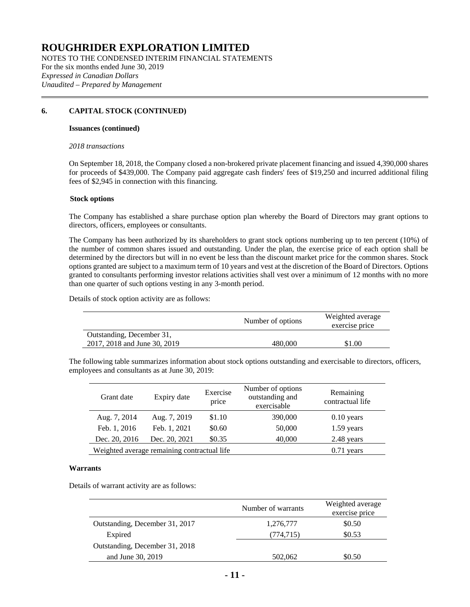NOTES TO THE CONDENSED INTERIM FINANCIAL STATEMENTS For the six months ended June 30, 2019 *Expressed in Canadian Dollars Unaudited – Prepared by Management*

## **6. CAPITAL STOCK (CONTINUED)**

#### **Issuances (continued)**

#### *2018 transactions*

On September 18, 2018, the Company closed a non-brokered private placement financing and issued 4,390,000 shares for proceeds of \$439,000. The Company paid aggregate cash finders' fees of \$19,250 and incurred additional filing fees of \$2,945 in connection with this financing.

#### **Stock options**

The Company has established a share purchase option plan whereby the Board of Directors may grant options to directors, officers, employees or consultants.

The Company has been authorized by its shareholders to grant stock options numbering up to ten percent (10%) of the number of common shares issued and outstanding. Under the plan, the exercise price of each option shall be determined by the directors but will in no event be less than the discount market price for the common shares. Stock options granted are subject to a maximum term of 10 years and vest at the discretion of the Board of Directors. Options granted to consultants performing investor relations activities shall vest over a minimum of 12 months with no more than one quarter of such options vesting in any 3-month period.

Details of stock option activity are as follows:

|                              | Number of options | Weighted average<br>exercise price |
|------------------------------|-------------------|------------------------------------|
| Outstanding, December 31,    |                   |                                    |
| 2017, 2018 and June 30, 2019 | 480.000           | \$1.00                             |

The following table summarizes information about stock options outstanding and exercisable to directors, officers, employees and consultants as at June 30, 2019:

| Grant date    | Expiry date                                 | Exercise<br>price | Number of options<br>outstanding and<br>exercisable | Remaining<br>contractual life |
|---------------|---------------------------------------------|-------------------|-----------------------------------------------------|-------------------------------|
| Aug. 7, 2014  | Aug. 7, 2019                                | \$1.10            | 390,000                                             | $0.10$ years                  |
| Feb. 1, 2016  | Feb. 1, 2021                                | \$0.60            | 50,000                                              | $1.59$ years                  |
| Dec. 20, 2016 | Dec. 20, 2021                               | \$0.35            | 40,000                                              | 2.48 years                    |
|               | Weighted average remaining contractual life |                   |                                                     | $0.71$ years                  |

#### **Warrants**

Details of warrant activity are as follows:

|                                | Number of warrants | Weighted average<br>exercise price |
|--------------------------------|--------------------|------------------------------------|
| Outstanding, December 31, 2017 | 1,276,777          | \$0.50                             |
| Expired                        | (774, 715)         | \$0.53                             |
| Outstanding, December 31, 2018 |                    |                                    |
| and June 30, 2019              | 502,062            | \$0.50                             |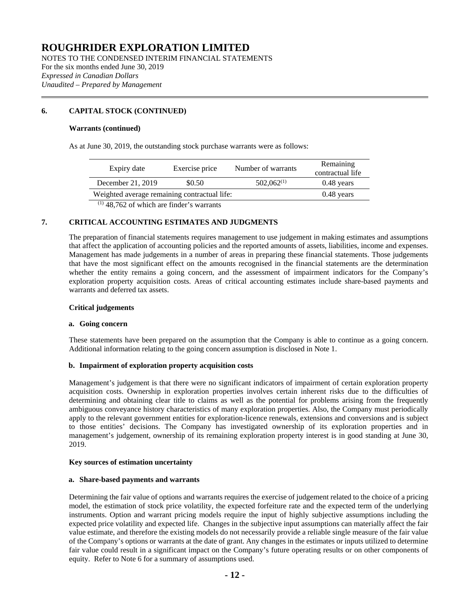NOTES TO THE CONDENSED INTERIM FINANCIAL STATEMENTS For the six months ended June 30, 2019 *Expressed in Canadian Dollars Unaudited – Prepared by Management*

## **6. CAPITAL STOCK (CONTINUED)**

#### **Warrants (continued)**

As at June 30, 2019, the outstanding stock purchase warrants were as follows:

| Expiry date                                  | Exercise price | Number of warrants | Remaining<br>contractual life |
|----------------------------------------------|----------------|--------------------|-------------------------------|
| December 21, 2019                            | \$0.50         | $502,062^{(1)}$    | $0.48$ years                  |
| Weighted average remaining contractual life: |                |                    | $0.48$ years                  |
| $(1)$ 48,762 of which are finder's warrants  |                |                    |                               |

**7. CRITICAL ACCOUNTING ESTIMATES AND JUDGMENTS**

The preparation of financial statements requires management to use judgement in making estimates and assumptions that affect the application of accounting policies and the reported amounts of assets, liabilities, income and expenses. Management has made judgements in a number of areas in preparing these financial statements. Those judgements that have the most significant effect on the amounts recognised in the financial statements are the determination whether the entity remains a going concern, and the assessment of impairment indicators for the Company's exploration property acquisition costs. Areas of critical accounting estimates include share-based payments and warrants and deferred tax assets.

#### **Critical judgements**

#### **a. Going concern**

These statements have been prepared on the assumption that the Company is able to continue as a going concern. Additional information relating to the going concern assumption is disclosed in Note 1.

## **b. Impairment of exploration property acquisition costs**

Management's judgement is that there were no significant indicators of impairment of certain exploration property acquisition costs. Ownership in exploration properties involves certain inherent risks due to the difficulties of determining and obtaining clear title to claims as well as the potential for problems arising from the frequently ambiguous conveyance history characteristics of many exploration properties. Also, the Company must periodically apply to the relevant government entities for exploration-licence renewals, extensions and conversions and is subject to those entities' decisions. The Company has investigated ownership of its exploration properties and in management's judgement, ownership of its remaining exploration property interest is in good standing at June 30, 2019.

#### **Key sources of estimation uncertainty**

#### **a. Share-based payments and warrants**

Determining the fair value of options and warrants requires the exercise of judgement related to the choice of a pricing model, the estimation of stock price volatility, the expected forfeiture rate and the expected term of the underlying instruments. Option and warrant pricing models require the input of highly subjective assumptions including the expected price volatility and expected life. Changes in the subjective input assumptions can materially affect the fair value estimate, and therefore the existing models do not necessarily provide a reliable single measure of the fair value of the Company's options or warrants at the date of grant. Any changes in the estimates or inputs utilized to determine fair value could result in a significant impact on the Company's future operating results or on other components of equity. Refer to Note 6 for a summary of assumptions used.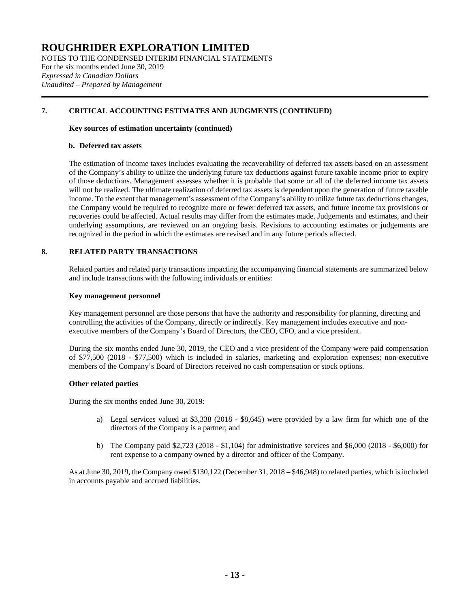NOTES TO THE CONDENSED INTERIM FINANCIAL STATEMENTS For the six months ended June 30, 2019 *Expressed in Canadian Dollars Unaudited – Prepared by Management*

## **7. CRITICAL ACCOUNTING ESTIMATES AND JUDGMENTS (CONTINUED)**

#### **Key sources of estimation uncertainty (continued)**

#### **b. Deferred tax assets**

The estimation of income taxes includes evaluating the recoverability of deferred tax assets based on an assessment of the Company's ability to utilize the underlying future tax deductions against future taxable income prior to expiry of those deductions. Management assesses whether it is probable that some or all of the deferred income tax assets will not be realized. The ultimate realization of deferred tax assets is dependent upon the generation of future taxable income. To the extent that management's assessment of the Company's ability to utilize future tax deductions changes, the Company would be required to recognize more or fewer deferred tax assets, and future income tax provisions or recoveries could be affected. Actual results may differ from the estimates made. Judgements and estimates, and their underlying assumptions, are reviewed on an ongoing basis. Revisions to accounting estimates or judgements are recognized in the period in which the estimates are revised and in any future periods affected.

## **8. RELATED PARTY TRANSACTIONS**

Related parties and related party transactions impacting the accompanying financial statements are summarized below and include transactions with the following individuals or entities:

#### **Key management personnel**

Key management personnel are those persons that have the authority and responsibility for planning, directing and controlling the activities of the Company, directly or indirectly. Key management includes executive and nonexecutive members of the Company's Board of Directors, the CEO, CFO, and a vice president.

During the six months ended June 30, 2019, the CEO and a vice president of the Company were paid compensation of \$77,500 (2018 - \$77,500) which is included in salaries, marketing and exploration expenses; non-executive members of the Company's Board of Directors received no cash compensation or stock options.

## **Other related parties**

During the six months ended June 30, 2019:

- a) Legal services valued at \$3,338 (2018 \$8,645) were provided by a law firm for which one of the directors of the Company is a partner; and
- b) The Company paid \$2,723 (2018 \$1,104) for administrative services and \$6,000 (2018 \$6,000) for rent expense to a company owned by a director and officer of the Company.

As at June 30, 2019, the Company owed \$130,122 (December 31, 2018 – \$46,948) to related parties, which is included in accounts payable and accrued liabilities.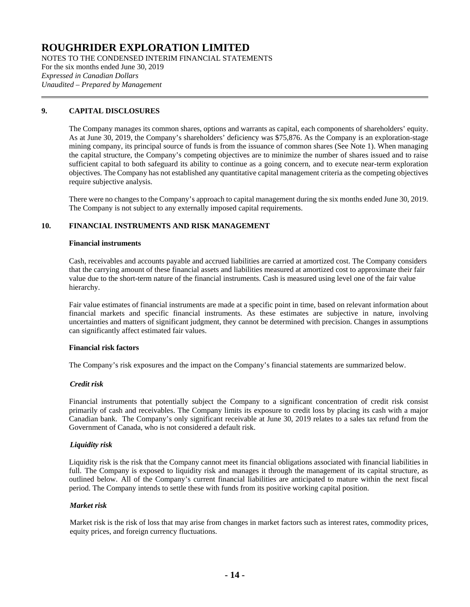NOTES TO THE CONDENSED INTERIM FINANCIAL STATEMENTS For the six months ended June 30, 2019 *Expressed in Canadian Dollars Unaudited – Prepared by Management*

## **9. CAPITAL DISCLOSURES**

The Company manages its common shares, options and warrants as capital, each components of shareholders' equity. As at June 30, 2019, the Company's shareholders' deficiency was \$75,876. As the Company is an exploration-stage mining company, its principal source of funds is from the issuance of common shares (See Note 1). When managing the capital structure, the Company's competing objectives are to minimize the number of shares issued and to raise sufficient capital to both safeguard its ability to continue as a going concern, and to execute near-term exploration objectives. The Company has not established any quantitative capital management criteria as the competing objectives require subjective analysis.

There were no changes to the Company's approach to capital management during the six months ended June 30, 2019. The Company is not subject to any externally imposed capital requirements.

## **10. FINANCIAL INSTRUMENTS AND RISK MANAGEMENT**

#### **Financial instruments**

Cash, receivables and accounts payable and accrued liabilities are carried at amortized cost. The Company considers that the carrying amount of these financial assets and liabilities measured at amortized cost to approximate their fair value due to the short-term nature of the financial instruments. Cash is measured using level one of the fair value hierarchy.

Fair value estimates of financial instruments are made at a specific point in time, based on relevant information about financial markets and specific financial instruments. As these estimates are subjective in nature, involving uncertainties and matters of significant judgment, they cannot be determined with precision. Changes in assumptions can significantly affect estimated fair values.

## **Financial risk factors**

The Company's risk exposures and the impact on the Company's financial statements are summarized below.

## *Credit risk*

Financial instruments that potentially subject the Company to a significant concentration of credit risk consist primarily of cash and receivables. The Company limits its exposure to credit loss by placing its cash with a major Canadian bank. The Company's only significant receivable at June 30, 2019 relates to a sales tax refund from the Government of Canada, who is not considered a default risk.

## *Liquidity risk*

Liquidity risk is the risk that the Company cannot meet its financial obligations associated with financial liabilities in full. The Company is exposed to liquidity risk and manages it through the management of its capital structure, as outlined below. All of the Company's current financial liabilities are anticipated to mature within the next fiscal period. The Company intends to settle these with funds from its positive working capital position.

## *Market risk*

Market risk is the risk of loss that may arise from changes in market factors such as interest rates, commodity prices, equity prices, and foreign currency fluctuations.